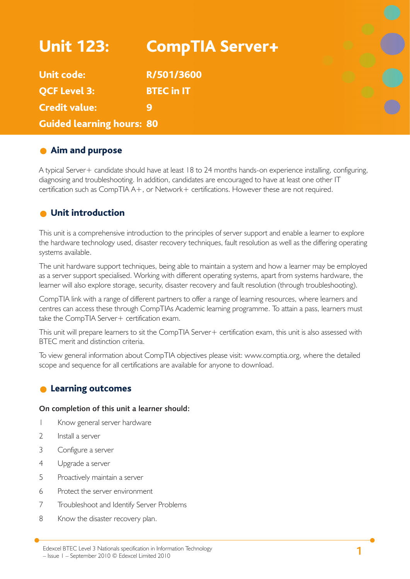| <b>Unit 123:</b>                 | <b>CompTIA Server+</b> |  |
|----------------------------------|------------------------|--|
| <b>Unit code:</b>                | R/501/3600             |  |
| <b>QCF Level 3:</b>              | <b>BTEC in IT</b>      |  |
| <b>Credit value:</b>             | 9                      |  |
| <b>Guided learning hours: 80</b> |                        |  |

## **Aim and purpose**

A typical Server+ candidate should have at least 18 to 24 months hands-on experience installing, configuring, diagnosing and troubleshooting. In addition, candidates are encouraged to have at least one other IT certification such as CompTIA A+, or Network+ certifications. However these are not required.

## **O** Unit introduction

This unit is a comprehensive introduction to the principles of server support and enable a learner to explore the hardware technology used, disaster recovery techniques, fault resolution as well as the differing operating systems available.

The unit hardware support techniques, being able to maintain a system and how a learner may be employed as a server support specialised. Working with different operating systems, apart from systems hardware, the learner will also explore storage, security, disaster recovery and fault resolution (through troubleshooting).

CompTIA link with a range of different partners to offer a range of learning resources, where learners and centres can access these through CompTIAs Academic learning programme. To attain a pass, learners must take the CompTIA Server+ certification exam.

This unit will prepare learners to sit the CompTIA Server+ certification exam, this unit is also assessed with BTEC merit and distinction criteria.

To view general information about CompTIA objectives please visit: www.comptia.org, where the detailed scope and sequence for all certifications are available for anyone to download.

## **C** Learning outcomes

#### **On completion of this unit a learner should:**

- 1 Know general server hardware
- 2 Install a server
- 3 Configure a server
- 4 Upgrade a server
- 5 Proactively maintain a server
- 6 Protect the server environment
- 7 Troubleshoot and Identify Server Problems
- 8 Know the disaster recovery plan.

**<sup>1</sup>** Edexcel BTEC Level 3 Nationals specification in Information Technology – Issue 1 – September 2010 © Edexcel Limited 2010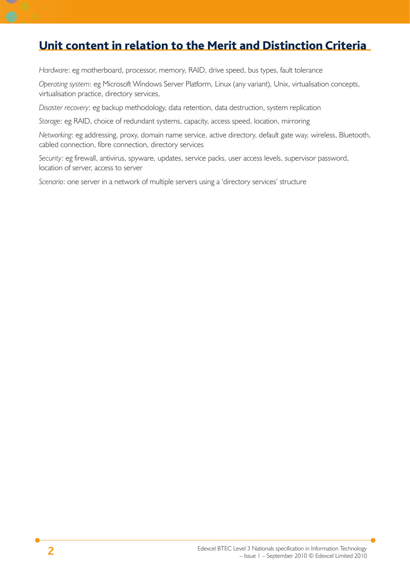# Unit content in relation to the Merit and Distinction Criteria

*Hardware*: eg motherboard, processor, memory, RAID, drive speed, bus types, fault tolerance

*Operating system*: eg Microsoft Windows Server Platform, Linux (any variant), Unix, virtualisation concepts, virtualisation practice, directory services,

*Disaster recovery*: eg backup methodology, data retention, data destruction, system replication

*Storage*: eg RAID, choice of redundant systems, capacity, access speed, location, mirroring

*Networking*: eg addressing, proxy, domain name service, active directory, default gate way, wireless, Bluetooth, cabled connection, fibre connection, directory services

*Security*: eg firewall, antivirus, spyware, updates, service packs, user access levels, supervisor password, location of server, access to server

*Scenario*: one server in a network of multiple servers using a 'directory services' structure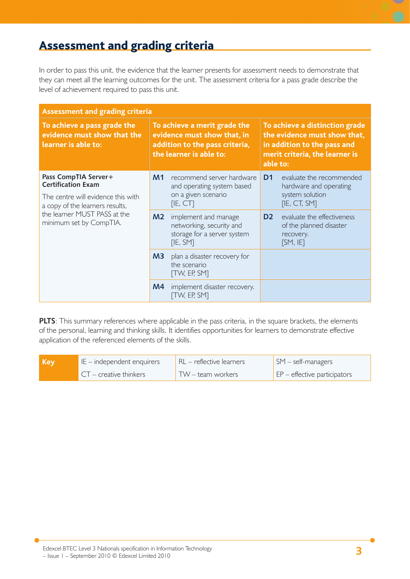# Assessment and grading criteria

In order to pass this unit, the evidence that the learner presents for assessment needs to demonstrate that they can meet all the learning outcomes for the unit. The assessment criteria for a pass grade describe the level of achievement required to pass this unit.

| <b>Assessment and grading criteria</b>                                                  |                                                                                                                          |                                                                                             |                                                                                                                                             |                                                                                |  |
|-----------------------------------------------------------------------------------------|--------------------------------------------------------------------------------------------------------------------------|---------------------------------------------------------------------------------------------|---------------------------------------------------------------------------------------------------------------------------------------------|--------------------------------------------------------------------------------|--|
| To achieve a pass grade the<br>evidence must show that the<br>learner is able to:       | To achieve a merit grade the<br>evidence must show that, in<br>addition to the pass criteria,<br>the learner is able to: |                                                                                             | To achieve a distinction grade<br>the evidence must show that,<br>in addition to the pass and<br>merit criteria, the learner is<br>able to: |                                                                                |  |
| Pass CompTIA Server+<br><b>Certification Exam</b><br>The centre will evidence this with | M <sub>1</sub>                                                                                                           | recommend server hardware<br>and operating system based<br>on a given scenario              | D <sub>1</sub>                                                                                                                              | evaluate the recommended<br>hardware and operating<br>system solution          |  |
| a copy of the learners results,                                                         |                                                                                                                          | [IE, CT]                                                                                    |                                                                                                                                             | [IE, CT, SM]                                                                   |  |
| the learner MUST PASS at the<br>minimum set by CompTIA.                                 | M <sub>2</sub>                                                                                                           | implement and manage<br>networking, security and<br>storage for a server system<br>[IE, SM] | D <sub>2</sub>                                                                                                                              | evaluate the effectiveness<br>of the planned disaster<br>recovery.<br>[SM, IF] |  |
|                                                                                         | M3                                                                                                                       | plan a disaster recovery for<br>the scenario<br><b>TW, EP, SMT</b>                          |                                                                                                                                             |                                                                                |  |
|                                                                                         | M <sub>4</sub>                                                                                                           | implement disaster recovery.<br><b>TW, EP, SMT</b>                                          |                                                                                                                                             |                                                                                |  |

**PLTS**: This summary references where applicable in the pass criteria, in the square brackets, the elements of the personal, learning and thinking skills. It identifies opportunities for learners to demonstrate effective application of the referenced elements of the skills.

| Key | $E$ = independent enquirers             | $R_L$ - reflective learners | $\mathsf{SM}$ – self-managers        |
|-----|-----------------------------------------|-----------------------------|--------------------------------------|
|     | $\blacktriangle$ CT – creative thinkers | TW – team workers           | $\vert$ EP – effective participators |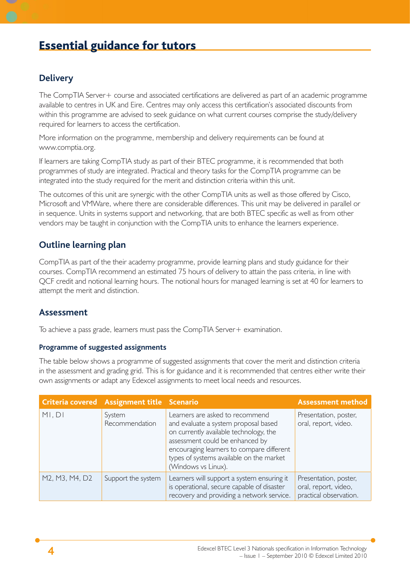# Essential guidance for tutors

## **Delivery**

The CompTIA Server+ course and associated certifications are delivered as part of an academic programme available to centres in UK and Eire. Centres may only access this certification's associated discounts from within this programme are advised to seek guidance on what current courses comprise the study/delivery required for learners to access the certification.

More information on the programme, membership and delivery requirements can be found at www.comptia.org.

If learners are taking CompTIA study as part of their BTEC programme, it is recommended that both programmes of study are integrated. Practical and theory tasks for the CompTIA programme can be integrated into the study required for the merit and distinction criteria within this unit.

The outcomes of this unit are synergic with the other CompTIA units as well as those offered by Cisco, Microsoft and VMWare, where there are considerable differences. This unit may be delivered in parallel or in sequence. Units in systems support and networking, that are both BTEC specific as well as from other vendors may be taught in conjunction with the CompTIA units to enhance the learners experience.

## **Outline learning plan**

CompTIA as part of the their academy programme, provide learning plans and study guidance for their courses. CompTIA recommend an estimated 75 hours of delivery to attain the pass criteria, in line with QCF credit and notional learning hours. The notional hours for managed learning is set at 40 for learners to attempt the merit and distinction.

### **Assessment**

To achieve a pass grade, learners must pass the CompTIA Server + examination.

#### **Programme of suggested assignments**

The table below shows a programme of suggested assignments that cover the merit and distinction criteria in the assessment and grading grid. This is for guidance and it is recommended that centres either write their own assignments or adapt any Edexcel assignments to meet local needs and resources.

|                | Criteria covered Assignment title Scenario |                                                                                                                                                                                                                                                                      | <b>Assessment method</b>                                                |
|----------------|--------------------------------------------|----------------------------------------------------------------------------------------------------------------------------------------------------------------------------------------------------------------------------------------------------------------------|-------------------------------------------------------------------------|
| MI, DI         | System<br>Recommendation                   | Learners are asked to recommend<br>and evaluate a system proposal based<br>on currently available technology, the<br>assessment could be enhanced by<br>encouraging learners to compare different<br>types of systems available on the market<br>(Windows vs Linux). | Presentation, poster,<br>oral, report, video.                           |
| M2, M3, M4, D2 | Support the system                         | Learners will support a system ensuring it<br>is operational, secure capable of disaster<br>recovery and providing a network service.                                                                                                                                | Presentation, poster,<br>oral, report, video,<br>practical observation. |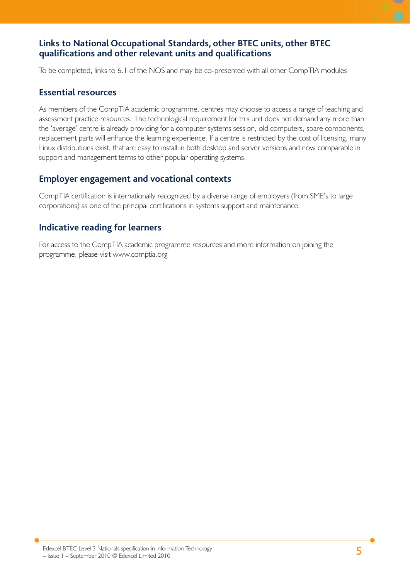## **Links to National Occupational Standards, other BTEC units, other BTEC qualifi cations and other relevant units and qualifi cations**

To be completed, links to 6.1 of the NOS and may be co-presented with all other CompTIA modules

### **Essential resources**

As members of the CompTIA academic programme, centres may choose to access a range of teaching and assessment practice resources. The technological requirement for this unit does not demand any more than the 'average' centre is already providing for a computer systems session, old computers, spare components, replacement parts will enhance the learning experience. If a centre is restricted by the cost of licensing, many Linux distributions exist, that are easy to install in both desktop and server versions and now comparable in support and management terms to other popular operating systems.

## **Employer engagement and vocational contexts**

CompTIA certification is internationally recognized by a diverse range of employers (from SME's to large corporations) as one of the principal certifications in systems support and maintenance.

## **Indicative reading for learners**

For access to the CompTIA academic programme resources and more information on joining the programme, please visit www.comptia.org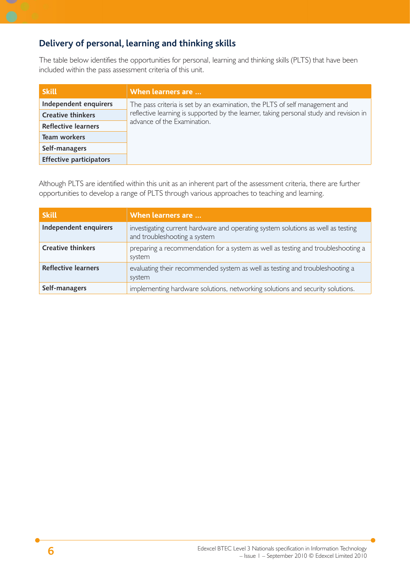## **Delivery of personal, learning and thinking skills**

The table below identifies the opportunities for personal, learning and thinking skills (PLTS) that have been included within the pass assessment criteria of this unit.

| <b>Skill</b>                   | When learners are                                                                      |  |
|--------------------------------|----------------------------------------------------------------------------------------|--|
| Independent enquirers          | The pass criteria is set by an examination, the PLTS of self management and            |  |
| <b>Creative thinkers</b>       | reflective learning is supported by the learner, taking personal study and revision in |  |
| Reflective learners            | advance of the Examination.                                                            |  |
| <b>Team workers</b>            |                                                                                        |  |
| Self-managers                  |                                                                                        |  |
| <b>Effective participators</b> |                                                                                        |  |

Although PLTS are identified within this unit as an inherent part of the assessment criteria, there are further opportunities to develop a range of PLTS through various approaches to teaching and learning.

| Skill                      | When learners are                                                                                                |
|----------------------------|------------------------------------------------------------------------------------------------------------------|
| Independent enquirers      | investigating current hardware and operating system solutions as well as testing<br>and troubleshooting a system |
| <b>Creative thinkers</b>   | preparing a recommendation for a system as well as testing and troubleshooting a<br>system                       |
| <b>Reflective learners</b> | evaluating their recommended system as well as testing and troubleshooting a<br>system                           |
| Self-managers              | implementing hardware solutions, networking solutions and security solutions.                                    |